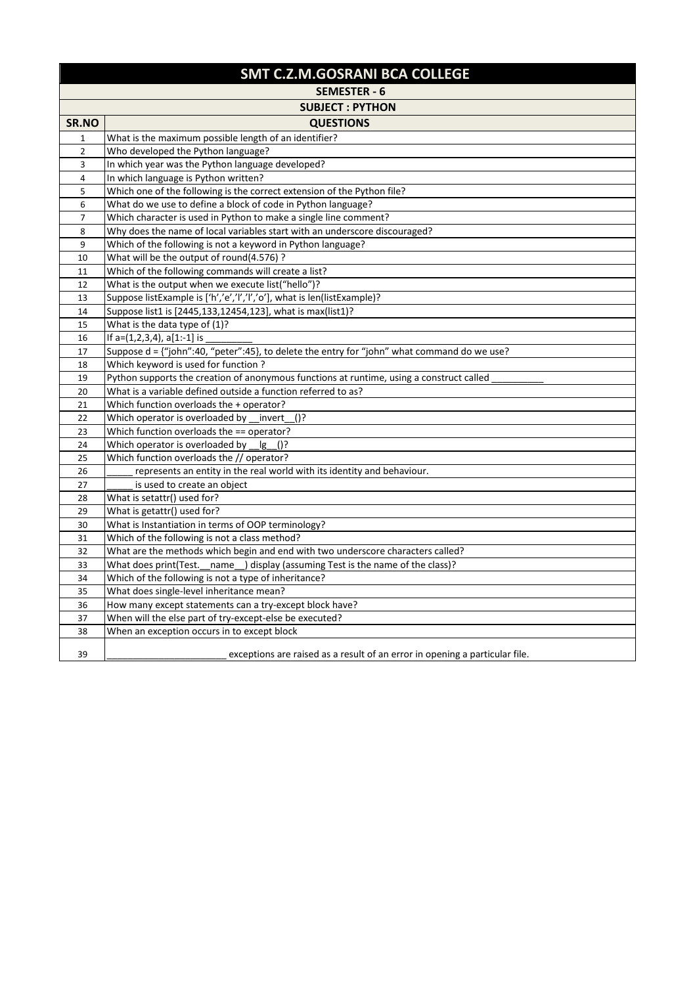## **SMT C.Z.M.GOSRANI BCA COLLEGE**

|                | <b>SEMESTER - 6</b>                                                                                    |
|----------------|--------------------------------------------------------------------------------------------------------|
|                | <b>SUBJECT: PYTHON</b>                                                                                 |
| SR.NO          | <b>QUESTIONS</b>                                                                                       |
| $\mathbf{1}$   | What is the maximum possible length of an identifier?                                                  |
| $\overline{2}$ | Who developed the Python language?                                                                     |
| 3              | In which year was the Python language developed?                                                       |
| 4              | In which language is Python written?                                                                   |
| 5              | Which one of the following is the correct extension of the Python file?                                |
| 6              | What do we use to define a block of code in Python language?                                           |
| 7              | Which character is used in Python to make a single line comment?                                       |
| 8              | Why does the name of local variables start with an underscore discouraged?                             |
| 9              | Which of the following is not a keyword in Python language?                                            |
| 10             | What will be the output of round(4.576) ?                                                              |
| 11             | Which of the following commands will create a list?                                                    |
| 12             | What is the output when we execute list("hello")?                                                      |
| 13             | Suppose listExample is ['h','e','l','l','o'], what is len(listExample)?                                |
| 14             | Suppose list1 is [2445,133,12454,123], what is max(list1)?                                             |
| 15             | What is the data type of $(1)$ ?                                                                       |
| 16             | If $a=(1,2,3,4)$ , $a[1:-1]$ is                                                                        |
| 17             | Suppose d = {"john":40, "peter":45}, to delete the entry for "john" what command do we use?            |
| 18             | Which keyword is used for function?                                                                    |
| 19             | Python supports the creation of anonymous functions at runtime, using a construct called               |
| 20             | What is a variable defined outside a function referred to as?                                          |
| 21             | Which function overloads the + operator?                                                               |
| 22             | Which operator is overloaded by invert<br>()?                                                          |
| 23             | Which function overloads the == operator?                                                              |
| 24             | Which operator is overloaded by<br>$\lg$ ()?                                                           |
| 25             | Which function overloads the // operator?                                                              |
| 26             | represents an entity in the real world with its identity and behaviour.                                |
| 27             | is used to create an object                                                                            |
| 28             | What is setattr() used for?                                                                            |
| 29             | What is getattr() used for?                                                                            |
| 30             | What is Instantiation in terms of OOP terminology?                                                     |
| 31             | Which of the following is not a class method?                                                          |
| 32             | What are the methods which begin and end with two underscore characters called?                        |
| 33             | What does print(Test._name_) display (assuming Test is the name of the class)?                         |
| 34             | Which of the following is not a type of inheritance?<br>What does single-level inheritance mean?       |
| 35             |                                                                                                        |
| 36             | How many except statements can a try-except block have?                                                |
| 37<br>38       | When will the else part of try-except-else be executed?<br>When an exception occurs in to except block |
|                |                                                                                                        |
| 39             | exceptions are raised as a result of an error in opening a particular file.                            |